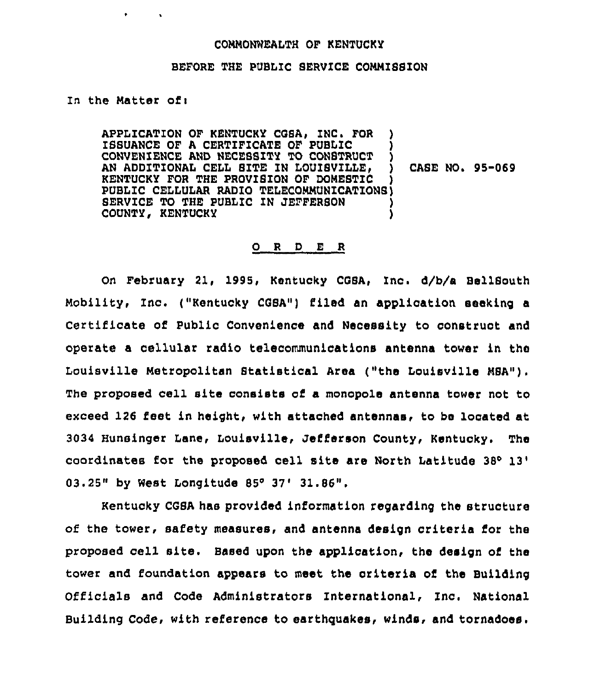## CONNONNEALTH OF KENTUCKY

## BEFORE THE PUBLIC SERVICE CONNISSZON

In the Natter of <sup>i</sup>

 $\bullet$ 

 $\sim$ 

APPLICATION OF KENTUCKY CGSA, INC. FOR ISSUANCE OF A CERTIFICATE OF PUBLIC CONVENIENCE AND NECEBSITY TO CONSTRUCT AN ADDITIONAL CELL SITE IN LOUISVILLE. KENTUCKY FOR THE PROVISION OF DOMESTIC PUBLIC CELLULAR RADIO TELECORNUNZCATIONS) SERVICE TO THE PUBLIC IN JEFFERSON COUNTY, KENTUCKY CASE NO. 95-069

## 0 <sup>R</sup> <sup>D</sup> E R

On February 21, 1995, Kentucky COSA, Inc. d/b/a BellSouth Nobility, Inc. ("Kentucky CQSA") filed an application seeking <sup>a</sup> Certificate of Public Convenience and Necessity to construct and operate a cellular radio telecommunications antenna tower in the Louisville Metropolitan Statistical Area ("the Louisville MSA"). The proposed cell site consists of a monopole antenna tower not to exceed 126 fest in height, with attached antennas< to be located at 3034 Hunsinger Lane, Louisville, Jefferson County, Kentuoky. The coordinates for the proposed cell site are North Latitude <sup>38</sup> 03.25" by West Longitude 85° 37' 31.86".

Kentucky CGSA has provided information regarding the structure of the tower, safety measures, and antenna design criteria for the proposed cell site. Based upon the application, the design of the tower and foundation appears to meet the criteria of the Building Officials and Code Administrators International, Znc. National Building Code, with reference to earthquakes, winds, and tornadoes.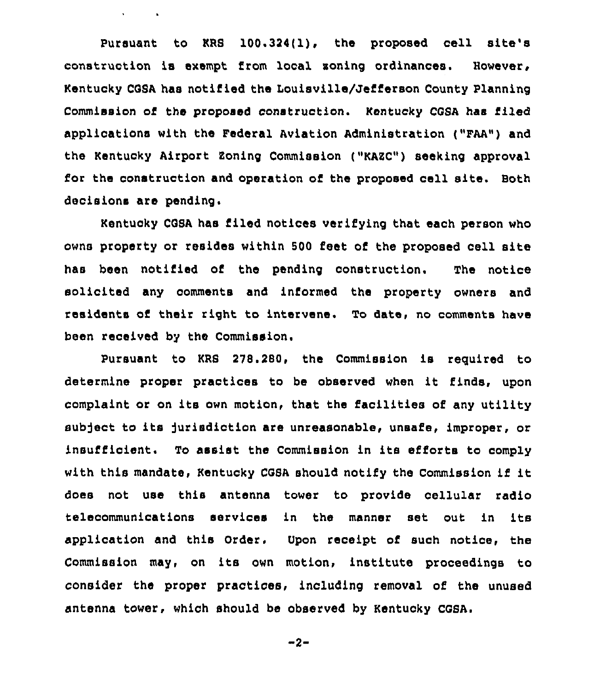Pursuant to KRS 100.324(1), the proposed cell site's construction is exempt from local zoning ordinances. However, Kentucky COSA has notified the Louisville/Jefferson County Planning Commission of the proposed construction. Kentucky CGSA has filed applications with the Federal Aviation Administration ("FAA") and the Kentucky Airport Zoning Commission ("KARC") seeking approval for the construction and operation of the proposed cell site. Both decisions are pending.

 $\mathbf{v} = \mathbf{v} \times \mathbf{v}$  .

Kentucky COSA has filed notices verifying that each person who owns property or resides within 500 feet of the proposed cell site has been notified of the pending construction. The notice solicited any comments and informed the property owners and residents of their right to intervene. To date, no comments have been received by the Commission.

Pursuant to KRS 278.280, the Commission is reguired to determine proper practices to be observed when it finds, upon complaint or on its own motion, that the facilities of any utility subject to its jurisdiction are unreasonable, unsafe, improper, or insufficient. To assist the Commission in its efforts to comply with this mandate, Kentucky CQSA should notify the Commission if it does not use this antenna tower to provide cellular radio telecommunications services in the manner set out in its application and this Order. Upon receipt of such notice, the Commission may, on its own motion, institute proceedings to consider the proper practices, including removal of the unused antenna tower, which should be observed by Kentucky CGSA.

$$
-2-
$$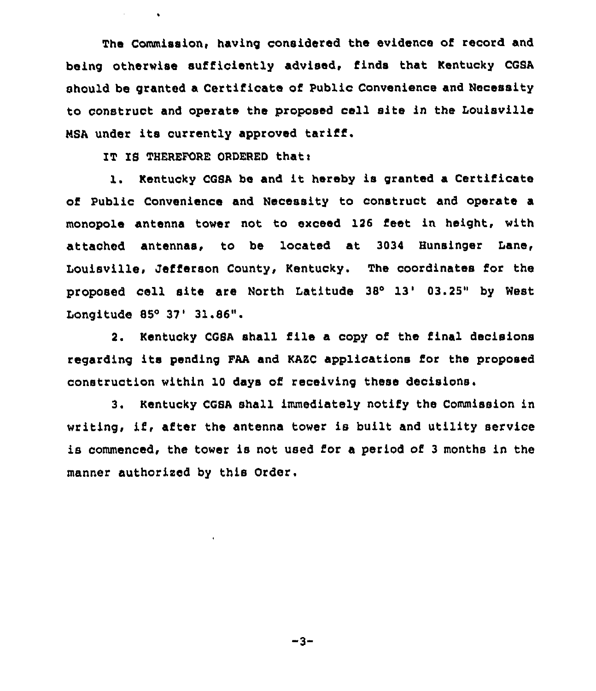The Commission, having considered the evidence of record and being otherwise sufficiently advised, finds that Kentucky CGSA should be granted a Certificate of Public Convenience and Necessity to construct and operate the proposed cell site in the Louisville NSA under its currently approved tariff.

IT IS THEREFORE ORDERED that:

 $\bullet$ 

1. Kentucky CGSA be and it hereby is granted a Certificate of Public Convenience and Necessity to construct and operate a monopole antenna tower not to exceed 126 feet in height, with attached antennas, to be located at 3034 Bunsinger Lane, Louisville, Jefferson County, Kentucky. The coordinates for the proposed cell site are North Latitude 38° 13' 03.25" by West Longitude  $85^{\circ}$  37' 31.86".

2. Kentucky COSA shall file a copy of the final decisions regarding its pending FAA and KAZC applications for the proposed construction within 10 days of receiving these decisions.

3. Kentucky CGSA shall immediately notify the Commission in writing, if, after the antenna tower is built and utility service is commenced, the tower is not used for a period of <sup>3</sup> months in the manner authorised by this Order.

 $-3-$